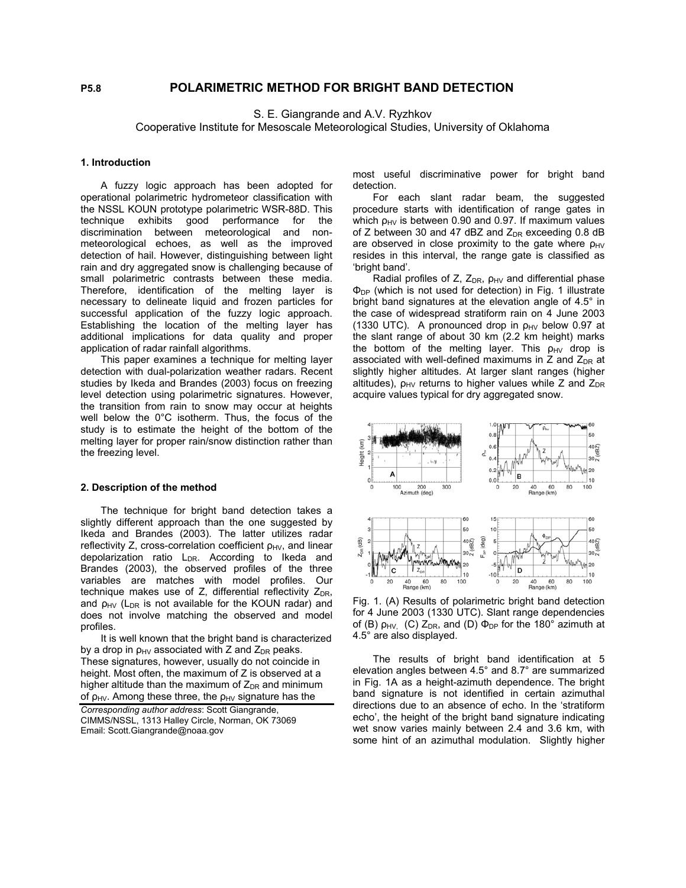# **P5.8 POLARIMETRIC METHOD FOR BRIGHT BAND DETECTION**

S. E. Giangrande and A.V. Ryzhkov

Cooperative Institute for Mesoscale Meteorological Studies, University of Oklahoma

#### **1. Introduction**

A fuzzy logic approach has been adopted for operational polarimetric hydrometeor classification with the NSSL KOUN prototype polarimetric WSR-88D. This technique exhibits good performance for the discrimination between meteorological and nonmeteorological echoes, as well as the improved detection of hail. However, distinguishing between light rain and dry aggregated snow is challenging because of small polarimetric contrasts between these media. Therefore, identification of the melting layer is necessary to delineate liquid and frozen particles for successful application of the fuzzy logic approach. Establishing the location of the melting layer has additional implications for data quality and proper application of radar rainfall algorithms.

This paper examines a technique for melting layer detection with dual-polarization weather radars. Recent studies by Ikeda and Brandes (2003) focus on freezing level detection using polarimetric signatures. However, the transition from rain to snow may occur at heights well below the 0°C isotherm. Thus, the focus of the study is to estimate the height of the bottom of the melting layer for proper rain/snow distinction rather than the freezing level.

#### **2. Description of the method**

The technique for bright band detection takes a slightly different approach than the one suggested by Ikeda and Brandes (2003). The latter utilizes radar reflectivity Z, cross-correlation coefficient  $\rho_{HV}$ , and linear depolarization ratio L<sub>DR</sub>. According to Ikeda and Brandes (2003), the observed profiles of the three variables are matches with model profiles. Our technique makes use of Z, differential reflectivity  $Z_{DR}$ , and  $\rho_{HV}$  (L<sub>DR</sub> is not available for the KOUN radar) and does not involve matching the observed and model profiles.

It is well known that the bright band is characterized by a drop in  $p_{HV}$  associated with Z and  $Z_{DR}$  peaks. These signatures, however, usually do not coincide in height. Most often, the maximum of Z is observed at a higher altitude than the maximum of  $Z_{DR}$  and minimum of  $\rho_{HV}$ . Among these three, the  $\rho_{HV}$  signature has the

*Corresponding author address*: Scott Giangrande, CIMMS/NSSL, 1313 Halley Circle, Norman, OK 73069 Email: Scott.Giangrande@noaa.gov

most useful discriminative power for bright band detection.

For each slant radar beam, the suggested procedure starts with identification of range gates in which  $p_{HV}$  is between 0.90 and 0.97. If maximum values of Z between 30 and 47 dBZ and  $Z_{DR}$  exceeding 0.8 dB are observed in close proximity to the gate where  $\rho_{HV}$ resides in this interval, the range gate is classified as 'bright band'.

Radial profiles of Z,  $Z_{DR}$ ,  $\rho_{HV}$  and differential phase  $\Phi_{DP}$  (which is not used for detection) in Fig. 1 illustrate bright band signatures at the elevation angle of 4.5° in the case of widespread stratiform rain on 4 June 2003 (1330 UTC). A pronounced drop in  $\rho_{HV}$  below 0.97 at the slant range of about 30 km (2.2 km height) marks the bottom of the melting layer. This  $\rho_{HV}$  drop is associated with well-defined maximums in  $Z$  and  $Z_{DR}$  at slightly higher altitudes. At larger slant ranges (higher altitudes),  $\rho_{HV}$  returns to higher values while Z and  $Z_{DR}$ acquire values typical for dry aggregated snow.



Fig. 1. (A) Results of polarimetric bright band detection for 4 June 2003 (1330 UTC). Slant range dependencies of (B)  $\rho_{HV}$  (C)  $Z_{DR}$ , and (D)  $\Phi_{DP}$  for the 180° azimuth at 4.5° are also displayed.

The results of bright band identification at 5 elevation angles between 4.5° and 8.7° are summarized in Fig. 1A as a height-azimuth dependence. The bright band signature is not identified in certain azimuthal directions due to an absence of echo. In the 'stratiform echo', the height of the bright band signature indicating wet snow varies mainly between 2.4 and 3.6 km, with some hint of an azimuthal modulation. Slightly higher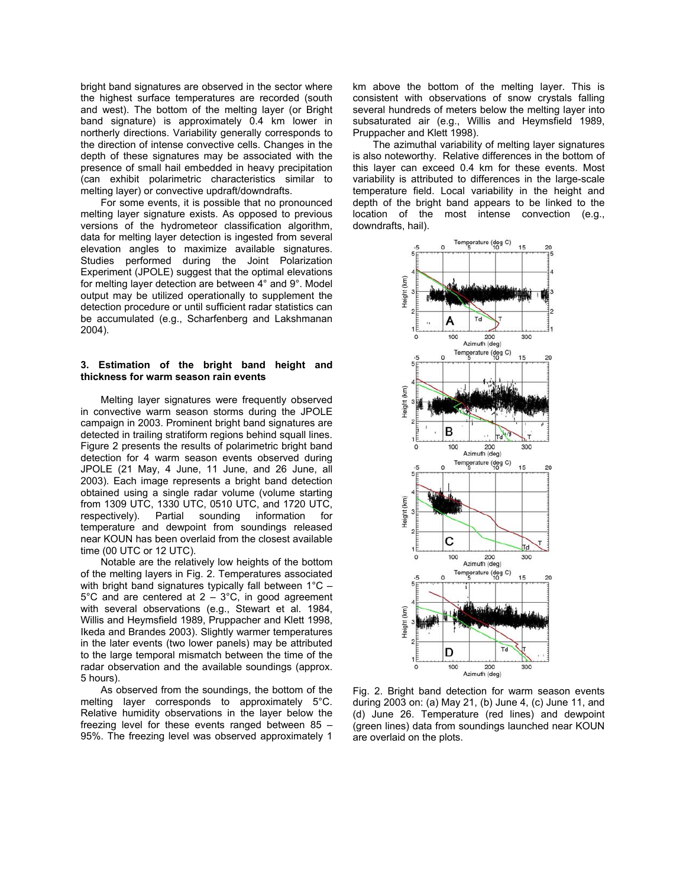bright band signatures are observed in the sector where the highest surface temperatures are recorded (south and west). The bottom of the melting layer (or Bright band signature) is approximately 0.4 km lower in northerly directions. Variability generally corresponds to the direction of intense convective cells. Changes in the depth of these signatures may be associated with the presence of small hail embedded in heavy precipitation (can exhibit polarimetric characteristics similar to melting layer) or convective updraft/downdrafts.

For some events, it is possible that no pronounced melting layer signature exists. As opposed to previous versions of the hydrometeor classification algorithm, data for melting layer detection is ingested from several elevation angles to maximize available signatures. Studies performed during the Joint Polarization Experiment (JPOLE) suggest that the optimal elevations for melting layer detection are between 4° and 9°. Model output may be utilized operationally to supplement the detection procedure or until sufficient radar statistics can be accumulated (e.g., Scharfenberg and Lakshmanan 2004).

## **3. Estimation of the bright band height and thickness for warm season rain events**

Melting layer signatures were frequently observed in convective warm season storms during the JPOLE campaign in 2003. Prominent bright band signatures are detected in trailing stratiform regions behind squall lines. Figure 2 presents the results of polarimetric bright band detection for 4 warm season events observed during JPOLE (21 May, 4 June, 11 June, and 26 June, all 2003). Each image represents a bright band detection obtained using a single radar volume (volume starting from 1309 UTC, 1330 UTC, 0510 UTC, and 1720 UTC, respectively). Partial sounding information for Partial sounding information for temperature and dewpoint from soundings released near KOUN has been overlaid from the closest available time (00 UTC or 12 UTC).

Notable are the relatively low heights of the bottom of the melting layers in Fig. 2. Temperatures associated with bright band signatures typically fall between 1°C –  $5^{\circ}$ C and are centered at 2 –  $3^{\circ}$ C, in good agreement with several observations (e.g., Stewart et al. 1984, Willis and Heymsfield 1989, Pruppacher and Klett 1998, Ikeda and Brandes 2003). Slightly warmer temperatures in the later events (two lower panels) may be attributed to the large temporal mismatch between the time of the radar observation and the available soundings (approx. 5 hours).

As observed from the soundings, the bottom of the melting layer corresponds to approximately 5°C. Relative humidity observations in the layer below the freezing level for these events ranged between 85 – 95%. The freezing level was observed approximately 1

km above the bottom of the melting layer. This is consistent with observations of snow crystals falling several hundreds of meters below the melting layer into subsaturated air (e.g., Willis and Heymsfield 1989, Pruppacher and Klett 1998).

The azimuthal variability of melting layer signatures is also noteworthy. Relative differences in the bottom of this layer can exceed 0.4 km for these events. Most variability is attributed to differences in the large-scale temperature field. Local variability in the height and depth of the bright band appears to be linked to the location of the most intense convection (e.g., downdrafts, hail).



Fig. 2. Bright band detection for warm season events during 2003 on: (a) May 21, (b) June 4, (c) June 11, and (d) June 26. Temperature (red lines) and dewpoint (green lines) data from soundings launched near KOUN are overlaid on the plots.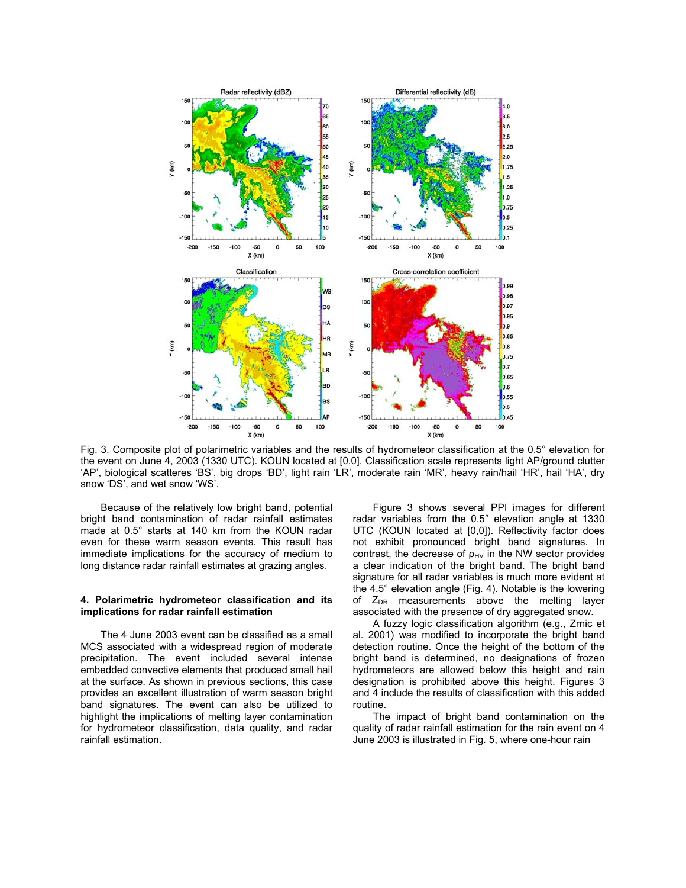

Fig. 3. Composite plot of polarimetric variables and the results of hydrometeor classification at the 0.5° elevation for the event on June 4, 2003 (1330 UTC). KOUN located at [0,0]. Classification scale represents light AP/ground clutter 'AP', biological scatteres 'BS', big drops 'BD', light rain 'LR', moderate rain 'MR', heavy rain/hail 'HR', hail 'HA', dry snow 'DS', and wet snow 'WS'.

Because of the relatively low bright band, potential bright band contamination of radar rainfall estimates made at 0.5° starts at 140 km from the KOUN radar even for these warm season events. This result has immediate implications for the accuracy of medium to long distance radar rainfall estimates at grazing angles.

### **4. Polarimetric hydrometeor classification and its implications for radar rainfall estimation**

The 4 June 2003 event can be classified as a small MCS associated with a widespread region of moderate precipitation. The event included several intense embedded convective elements that produced small hail at the surface. As shown in previous sections, this case provides an excellent illustration of warm season bright band signatures. The event can also be utilized to highlight the implications of melting layer contamination for hydrometeor classification, data quality, and radar rainfall estimation.

Figure 3 shows several PPI images for different radar variables from the 0.5° elevation angle at 1330 UTC (KOUN located at [0,0]). Reflectivity factor does not exhibit pronounced bright band signatures. In contrast, the decrease of  $\rho_{HV}$  in the NW sector provides a clear indication of the bright band. The bright band signature for all radar variables is much more evident at the 4.5° elevation angle (Fig. 4). Notable is the lowering of  $Z_{DR}$  measurements above the melting layer associated with the presence of dry aggregated snow.

A fuzzy logic classification algorithm (e.g., Zrnic et al. 2001) was modified to incorporate the bright band detection routine. Once the height of the bottom of the bright band is determined, no designations of frozen hydrometeors are allowed below this height and rain designation is prohibited above this height. Figures 3 and 4 include the results of classification with this added routine.

The impact of bright band contamination on the quality of radar rainfall estimation for the rain event on 4 June 2003 is illustrated in Fig. 5, where one-hour rain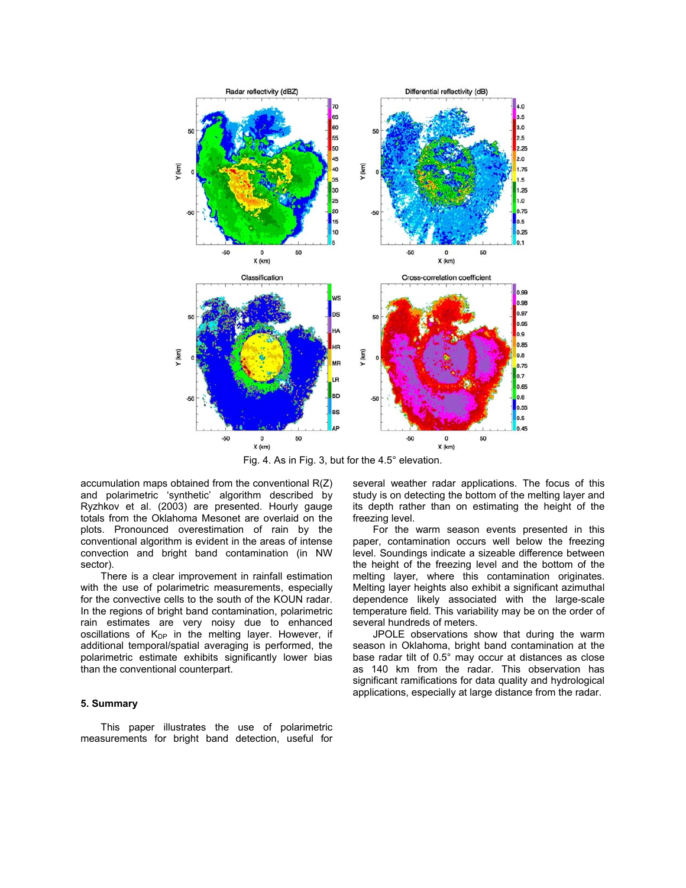

Fig. 4. As in Fig. 3, but for the 4.5° elevation.

accumulation maps obtained from the conventional R(Z) and polarimetric 'synthetic' algorithm described by Ryzhkov et al. (2003) are presented. Hourly gauge totals from the Oklahoma Mesonet are overlaid on the plots. Pronounced overestimation of rain by the conventional algorithm is evident in the areas of intense convection and bright band contamination (in NW sector).

There is a clear improvement in rainfall estimation with the use of polarimetric measurements, especially for the convective cells to the south of the KOUN radar. In the regions of bright band contamination, polarimetric rain estimates are very noisy due to enhanced oscillations of  $K_{DP}$  in the melting layer. However, if additional temporal/spatial averaging is performed, the polarimetric estimate exhibits significantly lower bias than the conventional counterpart.

# **5. Summary**

This paper illustrates the use of polarimetric measurements for bright band detection, useful for several weather radar applications. The focus of this study is on detecting the bottom of the melting layer and its depth rather than on estimating the height of the freezing level.

For the warm season events presented in this paper, contamination occurs well below the freezing level. Soundings indicate a sizeable difference between the height of the freezing level and the bottom of the melting layer, where this contamination originates. Melting layer heights also exhibit a significant azimuthal dependence likely associated with the large-scale temperature field. This variability may be on the order of several hundreds of meters.

JPOLE observations show that during the warm season in Oklahoma, bright band contamination at the base radar tilt of 0.5° may occur at distances as close as 140 km from the radar. This observation has significant ramifications for data quality and hydrological applications, especially at large distance from the radar.